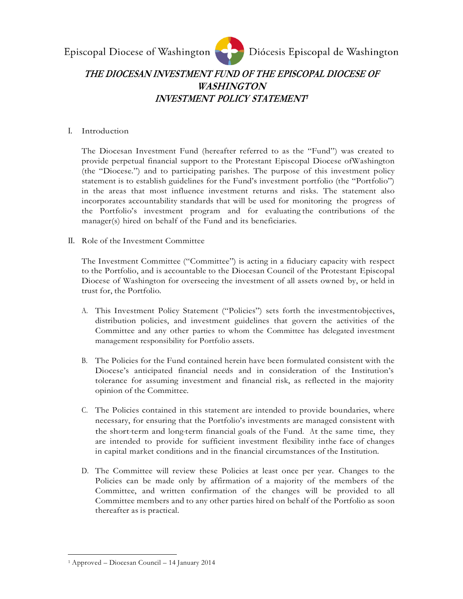

## **THE DIOCESAN INVESTMENT FUND OF THE EPISCOPAL DIOCESE OF WASHINGTON INVESTMENT POLICY STATEMENT<sup>1</sup>**

### I. Introduction

The Diocesan Investment Fund (hereafter referred to as the "Fund") was created to provide perpetual financial support to the Protestant Episcopal Diocese ofWashington (the "Diocese.") and to participating parishes. The purpose of this investment policy statement is to establish guidelines for the Fund's investment portfolio (the "Portfolio") in the areas that most influence investment returns and risks. The statement also incorporates accountability standards that will be used for monitoring the progress of the Portfolio's investment program and for evaluating the contributions of the manager(s) hired on behalf of the Fund and its beneficiaries.

II. Role of the Investment Committee

The Investment Committee ("Committee") is acting in a fiduciary capacity with respect to the Portfolio, and is accountable to the Diocesan Council of the Protestant Episcopal Diocese of Washington for overseeing the investment of all assets owned by, or held in trust for, the Portfolio.

- A. This Investment Policy Statement ("Policies") sets forth the investmentobjectives, distribution policies, and investment guidelines that govern the activities of the Committee and any other parties to whom the Committee has delegated investment management responsibility for Portfolio assets.
- B. The Policies for the Fund contained herein have been formulated consistent with the Diocese's anticipated financial needs and in consideration of the Institution's tolerance for assuming investment and financial risk, as reflected in the majority opinion of the Committee.
- C. The Policies contained in this statement are intended to provide boundaries, where necessary, for ensuring that the Portfolio's investments are managed consistent with the short-term and long-term financial goals of the Fund. At the same time, they are intended to provide for sufficient investment flexibility inthe face of changes in capital market conditions and in the financial circumstances of the Institution.
- D. The Committee will review these Policies at least once per year. Changes to the Policies can be made only by affirmation of a majority of the members of the Committee, and written confirmation of the changes will be provided to all Committee members and to any other parties hired on behalf of the Portfolio as soon thereafter as is practical.

<sup>1</sup> Approved – Diocesan Council – 14 January 2014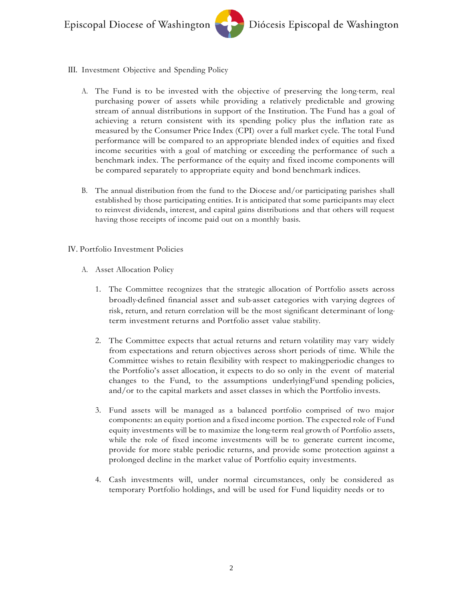- III. Investment Objective and Spending Policy
	- A. The Fund is to be invested with the objective of preserving the long-term, real purchasing power of assets while providing a relatively predictable and growing stream of annual distributions in support of the Institution. The Fund has a goal of achieving a return consistent with its spending policy plus the inflation rate as measured by the Consumer Price Index (CPI) over a full market cycle. The total Fund performance will be compared to an appropriate blended index of equities and fixed income securities with a goal of matching or exceeding the performance of such a benchmark index. The performance of the equity and fixed income components will be compared separately to appropriate equity and bond benchmark indices.
	- B. The annual distribution from the fund to the Diocese and/or participating parishes shall established by those participating entities. It is anticipated that some participants may elect to reinvest dividends, interest, and capital gains distributions and that others will request having those receipts of income paid out on a monthly basis.

### IV. Portfolio Investment Policies

- A. Asset Allocation Policy
	- 1. The Committee recognizes that the strategic allocation of Portfolio assets across broadly-defined financial asset and sub-asset categories with varying degrees of risk, return, and return correlation will be the most significant determinant of long-term investment returns and Portfolio asset value stability.
	- 2. The Committee expects that actual returns and return volatility may vary widely from expectations and return objectives across short periods of time. While the Committee wishes to retain flexibility with respect to makingperiodic changes to the Portfolio's asset allocation, it expects to do so only in the event of material changes to the Fund, to the assumptions underlyingFund spending policies, and/or to the capital markets and asset classes in which the Portfolio invests.
	- 3. Fund assets will be managed as a balanced portfolio comprised of two major components: an equity portion and a fixed income portion. The expected role of Fund equity investments will be to maximize the long-term real growth of Portfolio assets, while the role of fixed income investments will be to generate current income, provide for more stable periodic returns, and provide some protection against a prolonged decline in the market value of Portfolio equity investments.
	- 4. Cash investments will, under normal circumstances, only be considered as temporary Portfolio holdings, and will be used for Fund liquidity needs or to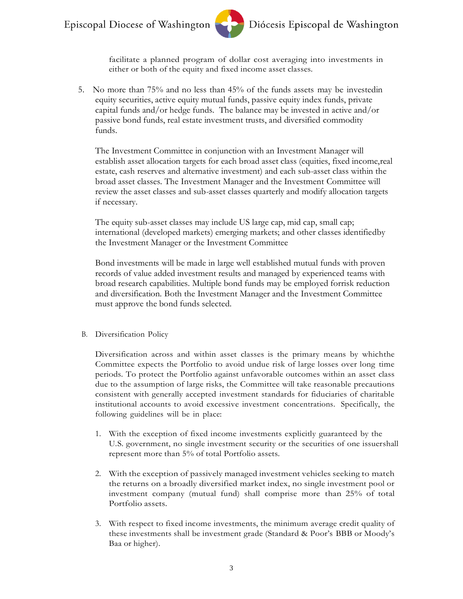

facilitate a planned program of dollar cost averaging into investments in either or both of the equity and fixed income asset classes.

5. No more than 75% and no less than 45% of the funds assets may be investedin equity securities, active equity mutual funds, passive equity index funds, private capital funds and/or hedge funds. The balance may be invested in active and/or passive bond funds, real estate investment trusts, and diversified commodity funds.

The Investment Committee in conjunction with an Investment Manager will establish asset allocation targets for each broad asset class (equities, fixed income,real estate, cash reserves and alternative investment) and each sub-asset class within the broad asset classes. The Investment Manager and the Investment Committee will review the asset classes and sub-asset classes quarterly and modify allocation targets if necessary.

The equity sub-asset classes may include US large cap, mid cap, small cap; international (developed markets) emerging markets; and other classes identifiedby the Investment Manager or the Investment Committee

Bond investments will be made in large well established mutual funds with proven records of value added investment results and managed by experienced teams with broad research capabilities. Multiple bond funds may be employed forrisk reduction and diversification. Both the Investment Manager and the Investment Committee must approve the bond funds selected.

#### B. Diversification Policy

Diversification across and within asset classes is the primary means by whichthe Committee expects the Portfolio to avoid undue risk of large losses over long time periods. To protect the Portfolio against unfavorable outcomes within an asset class due to the assumption of large risks, the Committee will take reasonable precautions consistent with generally accepted investment standards for fiduciaries of charitable institutional accounts to avoid excessive investment concentrations. Specifically, the following guidelines will be in place:

- 1. With the exception of fixed income investments explicitly guaranteed by the U.S. government, no single investment security or the securities of one issuershall represent more than 5% of total Portfolio assets.
- 2. With the exception of passively managed investment vehicles seeking to match the returns on a broadly diversified market index, no single investment pool or investment company (mutual fund) shall comprise more than 25% of total Portfolio assets.
- 3. With respect to fixed income investments, the minimum average credit quality of these investments shall be investment grade (Standard & Poor's BBB or Moody's Baa or higher).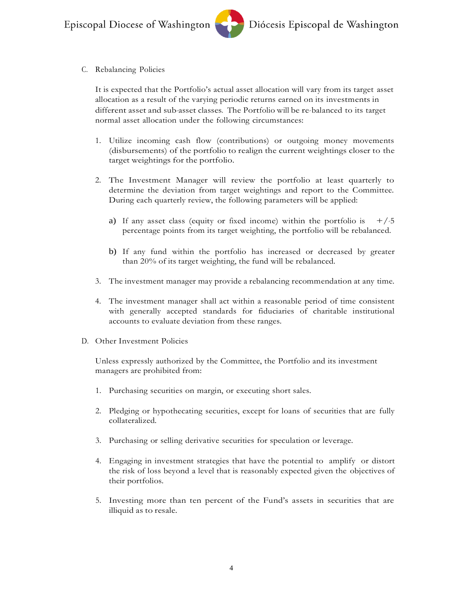C. Rebalancing Policies

It is expected that the Portfolio's actual asset allocation will vary from its target asset allocation as a result of the varying periodic returns earned on its investments in different asset and sub-asset classes. The Portfolio will be re-balanced to its target normal asset allocation under the following circumstances:

- 1. Utilize incoming cash flow (contributions) or outgoing money movements (disbursements) of the portfolio to realign the current weightings closer to the target weightings for the portfolio.
- 2. The Investment Manager will review the portfolio at least quarterly to determine the deviation from target weightings and report to the Committee. During each quarterly review, the following parameters will be applied:
	- a) If any asset class (equity or fixed income) within the portfolio is  $+/-5$ percentage points from its target weighting, the portfolio will be rebalanced.
	- b) If any fund within the portfolio has increased or decreased by greater than 20% of its target weighting, the fund will be rebalanced.
- 3. The investment manager may provide a rebalancing recommendation at any time.
- 4. The investment manager shall act within a reasonable period of time consistent with generally accepted standards for fiduciaries of charitable institutional accounts to evaluate deviation from these ranges.
- D. Other Investment Policies

Unless expressly authorized by the Committee, the Portfolio and its investment managers are prohibited from:

- 1. Purchasing securities on margin, or executing short sales.
- 2. Pledging or hypothecating securities, except for loans of securities that are fully collateralized.
- 3. Purchasing or selling derivative securities for speculation or leverage.
- 4. Engaging in investment strategies that have the potential to amplify or distort the risk of loss beyond a level that is reasonably expected given the objectives of their portfolios.
- 5. Investing more than ten percent of the Fund's assets in securities that are illiquid as to resale.